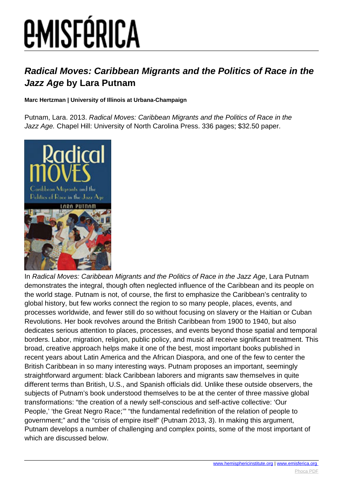# **EMISFÉRICA**

### **Radical Moves: Caribbean Migrants and the Politics of Race in the Jazz Age by Lara Putnam**

#### **Marc Hertzman | University of Illinois at Urbana-Champaign**

Putnam, Lara. 2013. Radical Moves: Caribbean Migrants and the Politics of Race in the Jazz Age. Chapel Hill: University of North Carolina Press. 336 pages; \$32.50 paper.



In Radical Moves: Caribbean Migrants and the Politics of Race in the Jazz Age, Lara Putnam demonstrates the integral, though often neglected influence of the Caribbean and its people on the world stage. Putnam is not, of course, the first to emphasize the Caribbean's centrality to global history, but few works connect the region to so many people, places, events, and processes worldwide, and fewer still do so without focusing on slavery or the Haitian or Cuban Revolutions. Her book revolves around the British Caribbean from 1900 to 1940, but also dedicates serious attention to places, processes, and events beyond those spatial and temporal borders. Labor, migration, religion, public policy, and music all receive significant treatment. This broad, creative approach helps make it one of the best, most important books published in recent years about Latin America and the African Diaspora, and one of the few to center the British Caribbean in so many interesting ways. Putnam proposes an important, seemingly straightforward argument: black Caribbean laborers and migrants saw themselves in quite different terms than British, U.S., and Spanish officials did. Unlike these outside observers, the subjects of Putnam's book understood themselves to be at the center of three massive global transformations: "the creation of a newly self-conscious and self-active collective: 'Our People,' 'the Great Negro Race;'" "the fundamental redefinition of the relation of people to government;" and the "crisis of empire itself" (Putnam 2013, 3). In making this argument, Putnam develops a number of challenging and complex points, some of the most important of which are discussed below.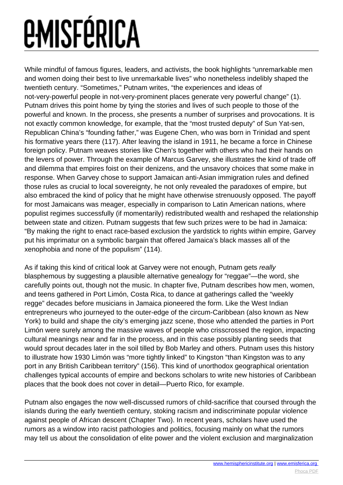# *<u>EMISFÉRICA</u>*

While mindful of famous figures, leaders, and activists, the book highlights "unremarkable men and women doing their best to live unremarkable lives" who nonetheless indelibly shaped the twentieth century. "Sometimes," Putnam writes, "the experiences and ideas of not-very-powerful people in not-very-prominent places generate very powerful change" (1). Putnam drives this point home by tying the stories and lives of such people to those of the powerful and known. In the process, she presents a number of surprises and provocations. It is not exactly common knowledge, for example, that the "most trusted deputy" of Sun Yat-sen, Republican China's "founding father," was Eugene Chen, who was born in Trinidad and spent his formative years there (117). After leaving the island in 1911, he became a force in Chinese foreign policy. Putnam weaves stories like Chen's together with others who had their hands on the levers of power. Through the example of Marcus Garvey, she illustrates the kind of trade off and dilemma that empires foist on their denizens, and the unsavory choices that some make in response. When Garvey chose to support Jamaican anti-Asian immigration rules and defined those rules as crucial to local sovereignty, he not only revealed the paradoxes of empire, but also embraced the kind of policy that he might have otherwise strenuously opposed. The payoff for most Jamaicans was meager, especially in comparison to Latin American nations, where populist regimes successfully (if momentarily) redistributed wealth and reshaped the relationship between state and citizen. Putnam suggests that few such prizes were to be had in Jamaica: "By making the right to enact race-based exclusion the yardstick to rights within empire, Garvey put his imprimatur on a symbolic bargain that offered Jamaica's black masses all of the xenophobia and none of the populism" (114).

As if taking this kind of critical look at Garvey were not enough, Putnam gets really blasphemous by suggesting a plausible alternative genealogy for "reggae"—the word, she carefully points out, though not the music. In chapter five, Putnam describes how men, women, and teens gathered in Port Limón, Costa Rica, to dance at gatherings called the "weekly regge" decades before musicians in Jamaica pioneered the form. Like the West Indian entrepreneurs who journeyed to the outer-edge of the circum-Caribbean (also known as New York) to build and shape the city's emerging jazz scene, those who attended the parties in Port Limón were surely among the massive waves of people who crisscrossed the region, impacting cultural meanings near and far in the process, and in this case possibly planting seeds that would sprout decades later in the soil tilled by Bob Marley and others. Putnam uses this history to illustrate how 1930 Limón was "more tightly linked" to Kingston "than Kingston was to any port in any British Caribbean territory" (156). This kind of unorthodox geographical orientation challenges typical accounts of empire and beckons scholars to write new histories of Caribbean places that the book does not cover in detail—Puerto Rico, for example.

Putnam also engages the now well-discussed rumors of child-sacrifice that coursed through the islands during the early twentieth century, stoking racism and indiscriminate popular violence against people of African descent (Chapter Two). In recent years, scholars have used the rumors as a window into racist pathologies and politics, focusing mainly on what the rumors may tell us about the consolidation of elite power and the violent exclusion and marginalization